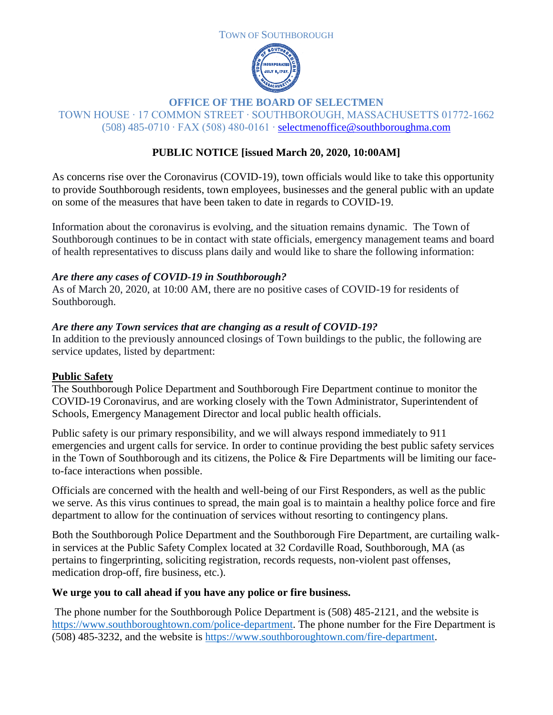



### **OFFICE OF THE BOARD OF SELECTMEN**

TOWN HOUSE ∙ 17 COMMON STREET ∙ SOUTHBOROUGH, MASSACHUSETTS 01772-1662 (508) 485-0710 ∙ FAX (508) 480-0161 ∙ [selectmenoffice@southboroughma.com](mailto:selectmenoffice@southboroughma.com)

# **PUBLIC NOTICE [issued March 20, 2020, 10:00AM]**

As concerns rise over the Coronavirus (COVID-19), town officials would like to take this opportunity to provide Southborough residents, town employees, businesses and the general public with an update on some of the measures that have been taken to date in regards to COVID-19.

Information about the coronavirus is evolving, and the situation remains dynamic. The Town of Southborough continues to be in contact with state officials, emergency management teams and board of health representatives to discuss plans daily and would like to share the following information:

#### *Are there any cases of COVID-19 in Southborough?*

As of March 20, 2020, at 10:00 AM, there are no positive cases of COVID-19 for residents of Southborough.

#### *Are there any Town services that are changing as a result of COVID-19?*

In addition to the previously announced closings of Town buildings to the public, the following are service updates, listed by department:

### **Public Safety**

The Southborough Police Department and Southborough Fire Department continue to monitor the COVID-19 Coronavirus, and are working closely with the Town Administrator, Superintendent of Schools, Emergency Management Director and local public health officials.

Public safety is our primary responsibility, and we will always respond immediately to 911 emergencies and urgent calls for service. In order to continue providing the best public safety services in the Town of Southborough and its citizens, the Police  $\&$  Fire Departments will be limiting our faceto-face interactions when possible.

Officials are concerned with the health and well-being of our First Responders, as well as the public we serve. As this virus continues to spread, the main goal is to maintain a healthy police force and fire department to allow for the continuation of services without resorting to contingency plans.

Both the Southborough Police Department and the Southborough Fire Department, are curtailing walkin services at the Public Safety Complex located at 32 Cordaville Road, Southborough, MA (as pertains to fingerprinting, soliciting registration, records requests, non-violent past offenses, medication drop-off, fire business, etc.).

### **We urge you to call ahead if you have any police or fire business.**

The phone number for the Southborough Police Department is (508) 485-2121, and the website is [https://www.southboroughtown.com/police-department.](https://www.southboroughtown.com/police-department) The phone number for the Fire Department is (508) 485-3232, and the website is [https://www.southboroughtown.com/fire-department.](https://www.southboroughtown.com/fire-department)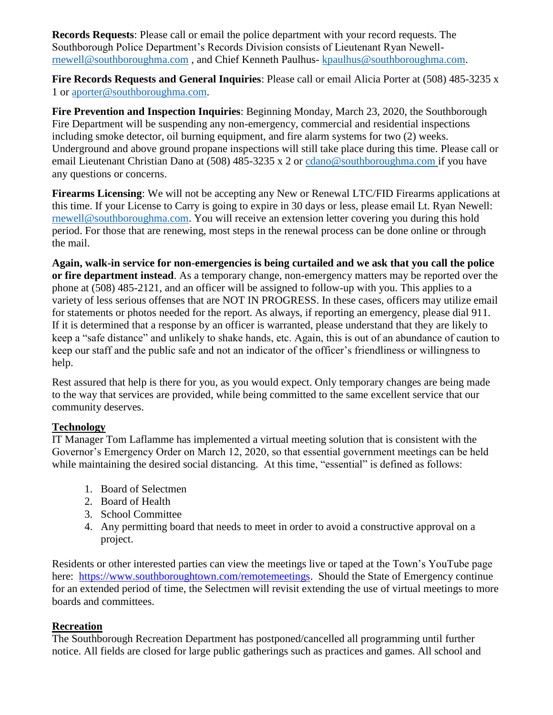**Records Requests**: Please call or email the police department with your record requests. The Southborough Police Department's Records Division consists of Lieutenant Ryan Newell[rnewell@southboroughma.com](mailto:rnewell@southboroughma.com) , and Chief Kenneth Paulhus- [kpaulhus@southboroughma.com.](mailto:kpaulhus@southboroughma.com)

**Fire Records Requests and General Inquiries**: Please call or email Alicia Porter at (508) 485-3235 x 1 or [aporter@southboroughma.com.](mailto:aporter@southboroughma.com)

**Fire Prevention and Inspection Inquiries**: Beginning Monday, March 23, 2020, the Southborough Fire Department will be suspending any non-emergency, commercial and residential inspections including smoke detector, oil burning equipment, and fire alarm systems for two (2) weeks. Underground and above ground propane inspections will still take place during this time. Please call or email Lieutenant Christian Dano at (508) 485-3235 x 2 or [cdano@southboroughma.com](mailto:cdano@southboroughma.com) if you have any questions or concerns.

**Firearms Licensing**: We will not be accepting any New or Renewal LTC/FID Firearms applications at this time. If your License to Carry is going to expire in 30 days or less, please email Lt. Ryan Newell: [rnewell@southboroughma.com.](mailto:rnewell@southboroughma.com) You will receive an extension letter covering you during this hold period. For those that are renewing, most steps in the renewal process can be done online or through the mail.

**Again, walk-in service for non-emergencies is being curtailed and we ask that you call the police or fire department instead**. As a temporary change, non-emergency matters may be reported over the phone at (508) 485-2121, and an officer will be assigned to follow-up with you. This applies to a variety of less serious offenses that are NOT IN PROGRESS. In these cases, officers may utilize email for statements or photos needed for the report. As always, if reporting an emergency, please dial 911. If it is determined that a response by an officer is warranted, please understand that they are likely to keep a "safe distance" and unlikely to shake hands, etc. Again, this is out of an abundance of caution to keep our staff and the public safe and not an indicator of the officer's friendliness or willingness to help.

Rest assured that help is there for you, as you would expect. Only temporary changes are being made to the way that services are provided, while being committed to the same excellent service that our community deserves.

### **Technology**

IT Manager Tom Laflamme has implemented a virtual meeting solution that is consistent with the Governor's Emergency Order on March 12, 2020, so that essential government meetings can be held while maintaining the desired social distancing. At this time, "essential" is defined as follows:

- 1. Board of Selectmen
- 2. Board of Health
- 3. School Committee
- 4. Any permitting board that needs to meet in order to avoid a constructive approval on a project.

Residents or other interested parties can view the meetings live or taped at the Town's YouTube page here: [https://www.southboroughtown.com/remotemeetings.](https://www.southboroughtown.com/remotemeetings) Should the State of Emergency continue for an extended period of time, the Selectmen will revisit extending the use of virtual meetings to more boards and committees.

### **Recreation**

The Southborough Recreation Department has postponed/cancelled all programming until further notice. All fields are closed for large public gatherings such as practices and games. All school and